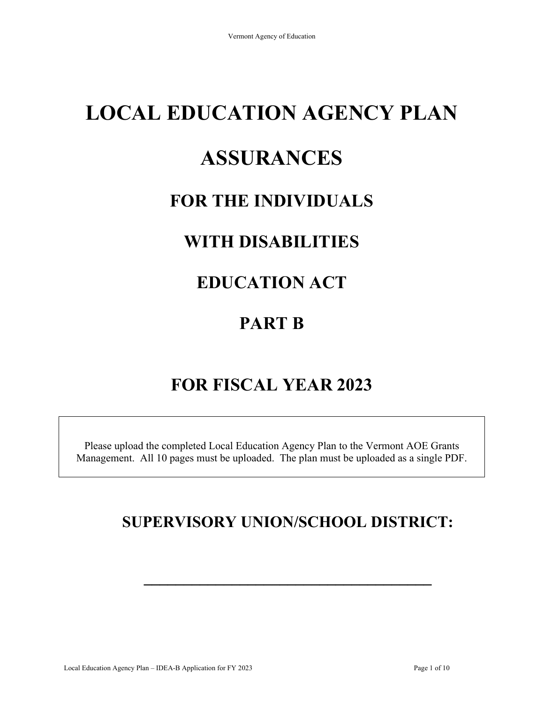# **LOCAL EDUCATION AGENCY PLAN**

## **ASSURANCES**

## **FOR THE INDIVIDUALS**

## **WITH DISABILITIES**

## **EDUCATION ACT**

## **PART B**

## **FOR FISCAL YEAR 2023**

Please upload the completed Local Education Agency Plan to the Vermont AOE Grants Management. All 10 pages must be uploaded. The plan must be uploaded as a single PDF.

### **SUPERVISORY UNION/SCHOOL DISTRICT:**

**\_\_\_\_\_\_\_\_\_\_\_\_\_\_\_\_\_\_\_\_\_\_\_\_\_\_\_\_\_\_\_\_\_\_\_\_**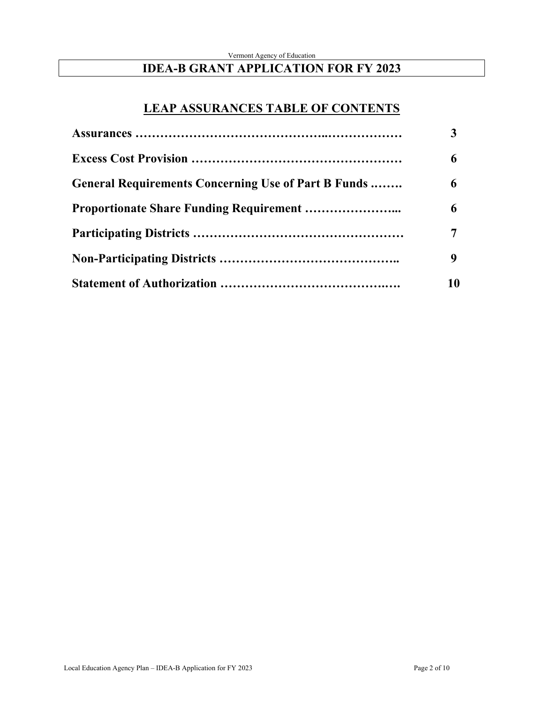#### Vermont Agency of Education **IDEA-B GRANT APPLICATION FOR FY 2023**

### **LEAP ASSURANCES TABLE OF CONTENTS**

| General Requirements Concerning Use of Part B Funds | 6  |
|-----------------------------------------------------|----|
|                                                     | 6  |
|                                                     |    |
|                                                     | 9  |
|                                                     | 10 |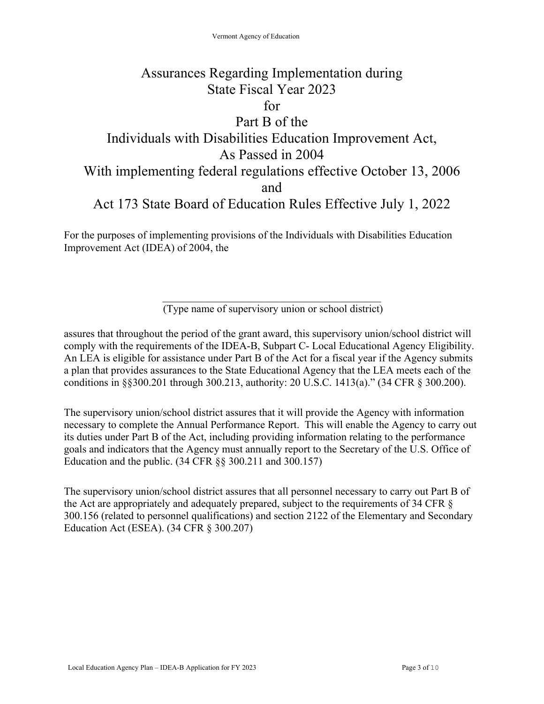### Assurances Regarding Implementation during State Fiscal Year 2023 for Part B of the Individuals with Disabilities Education Improvement Act, As Passed in 2004 With implementing federal regulations effective October 13, 2006 and Act 173 State Board of Education Rules Effective July 1, 2022

For the purposes of implementing provisions of the Individuals with Disabilities Education Improvement Act (IDEA) of 2004, the

(Type name of supervisory union or school district)

assures that throughout the period of the grant award, this supervisory union/school district will comply with the requirements of the IDEA-B, Subpart C- Local Educational Agency Eligibility. An LEA is eligible for assistance under Part B of the Act for a fiscal year if the Agency submits a plan that provides assurances to the State Educational Agency that the LEA meets each of the conditions in §§300.201 through 300.213, authority: 20 U.S.C. 1413(a)." (34 CFR § 300.200).

The supervisory union/school district assures that it will provide the Agency with information necessary to complete the Annual Performance Report. This will enable the Agency to carry out its duties under Part B of the Act, including providing information relating to the performance goals and indicators that the Agency must annually report to the Secretary of the U.S. Office of Education and the public. (34 CFR §§ 300.211 and 300.157)

The supervisory union/school district assures that all personnel necessary to carry out Part B of the Act are appropriately and adequately prepared, subject to the requirements of 34 CFR § 300.156 (related to personnel qualifications) and section 2122 of the Elementary and Secondary Education Act (ESEA). (34 CFR § 300.207)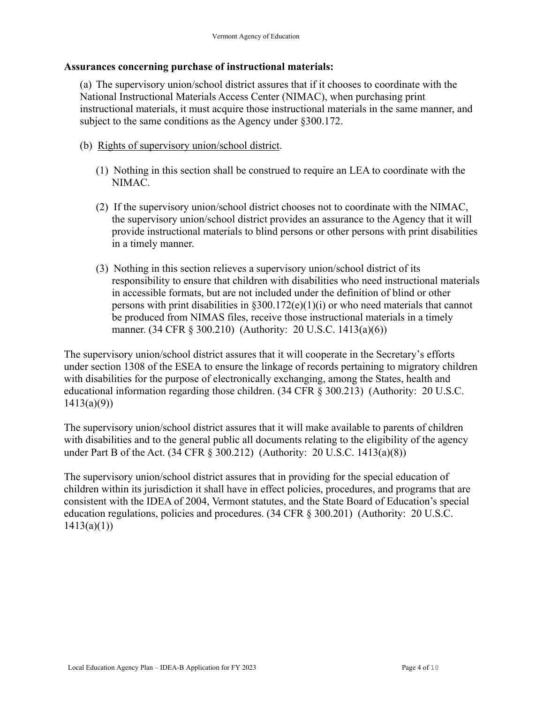#### **Assurances concerning purchase of instructional materials:**

(a) The supervisory union/school district assures that if it chooses to coordinate with the National Instructional Materials Access Center (NIMAC), when purchasing print instructional materials, it must acquire those instructional materials in the same manner, and subject to the same conditions as the Agency under §300.172.

- (b) Rights of supervisory union/school district.
	- (1) Nothing in this section shall be construed to require an LEA to coordinate with the NIMAC.
	- (2) If the supervisory union/school district chooses not to coordinate with the NIMAC, the supervisory union/school district provides an assurance to the Agency that it will provide instructional materials to blind persons or other persons with print disabilities in a timely manner.
	- (3) Nothing in this section relieves a supervisory union/school district of its responsibility to ensure that children with disabilities who need instructional materials in accessible formats, but are not included under the definition of blind or other persons with print disabilities in  $$300.172(e)(1)(i)$  or who need materials that cannot be produced from NIMAS files, receive those instructional materials in a timely manner. (34 CFR § 300.210) (Authority: 20 U.S.C. 1413(a)(6))

The supervisory union/school district assures that it will cooperate in the Secretary's efforts under section 1308 of the ESEA to ensure the linkage of records pertaining to migratory children with disabilities for the purpose of electronically exchanging, among the States, health and educational information regarding those children. (34 CFR § 300.213) (Authority: 20 U.S.C.  $1413(a)(9)$ 

The supervisory union/school district assures that it will make available to parents of children with disabilities and to the general public all documents relating to the eligibility of the agency under Part B of the Act. (34 CFR § 300.212) (Authority: 20 U.S.C. 1413(a)(8))

The supervisory union/school district assures that in providing for the special education of children within its jurisdiction it shall have in effect policies, procedures, and programs that are consistent with the IDEA of 2004, Vermont statutes, and the State Board of Education's special education regulations, policies and procedures. (34 CFR § 300.201) (Authority: 20 U.S.C.  $1413(a)(1)$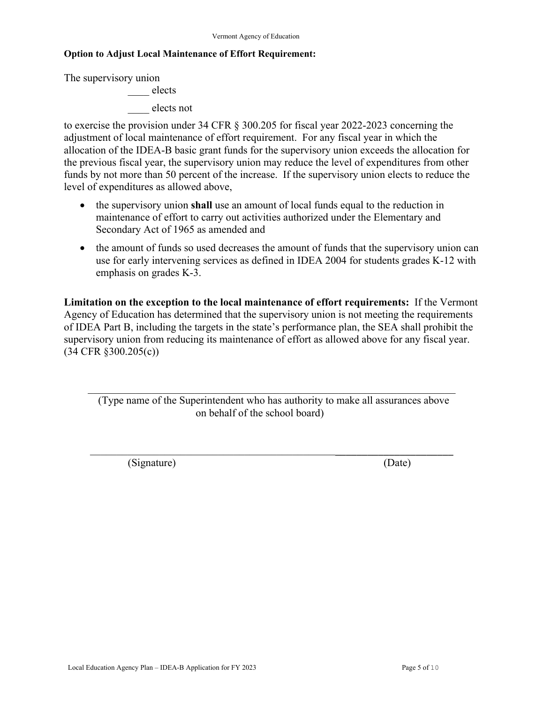#### **Option to Adjust Local Maintenance of Effort Requirement:**

The supervisory union

\_\_\_\_ elects \_\_\_\_ elects not

to exercise the provision under 34 CFR § 300.205 for fiscal year 2022-2023 concerning the adjustment of local maintenance of effort requirement. For any fiscal year in which the allocation of the IDEA-B basic grant funds for the supervisory union exceeds the allocation for the previous fiscal year, the supervisory union may reduce the level of expenditures from other funds by not more than 50 percent of the increase. If the supervisory union elects to reduce the level of expenditures as allowed above,

- the supervisory union **shall** use an amount of local funds equal to the reduction in maintenance of effort to carry out activities authorized under the Elementary and Secondary Act of 1965 as amended and
- the amount of funds so used decreases the amount of funds that the supervisory union can use for early intervening services as defined in IDEA 2004 for students grades K-12 with emphasis on grades K-3.

**Limitation on the exception to the local maintenance of effort requirements:** If the Vermont Agency of Education has determined that the supervisory union is not meeting the requirements of IDEA Part B, including the targets in the state's performance plan, the SEA shall prohibit the supervisory union from reducing its maintenance of effort as allowed above for any fiscal year. (34 CFR §300.205(c))

(Type name of the Superintendent who has authority to make all assurances above on behalf of the school board)

\_\_\_\_\_\_\_\_\_\_\_\_\_\_\_\_\_\_\_\_\_\_\_\_\_\_\_\_\_\_\_\_\_\_\_\_\_\_\_\_\_\_\_\_\_\_\_\_\_\_\_\_\_\_\_\_\_\_\_\_\_\_\_\_\_\_\_\_

(Signature) (Date)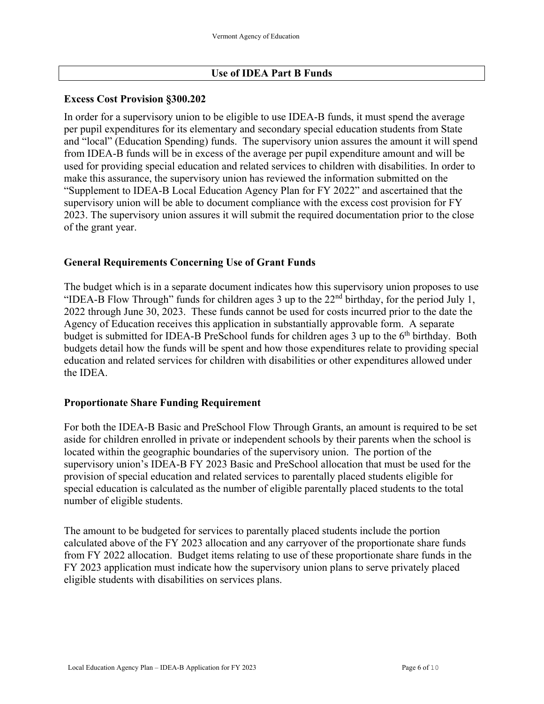#### **Use of IDEA Part B Funds**

#### **Excess Cost Provision §300.202**

In order for a supervisory union to be eligible to use IDEA-B funds, it must spend the average per pupil expenditures for its elementary and secondary special education students from State and "local" (Education Spending) funds. The supervisory union assures the amount it will spend from IDEA-B funds will be in excess of the average per pupil expenditure amount and will be used for providing special education and related services to children with disabilities. In order to make this assurance, the supervisory union has reviewed the information submitted on the "Supplement to IDEA-B Local Education Agency Plan for FY 2022" and ascertained that the supervisory union will be able to document compliance with the excess cost provision for FY 2023. The supervisory union assures it will submit the required documentation prior to the close of the grant year.

#### **General Requirements Concerning Use of Grant Funds**

The budget which is in a separate document indicates how this supervisory union proposes to use "IDEA-B Flow Through" funds for children ages 3 up to the  $22<sup>nd</sup>$  birthday, for the period July 1, 2022 through June 30, 2023. These funds cannot be used for costs incurred prior to the date the Agency of Education receives this application in substantially approvable form. A separate budget is submitted for IDEA-B PreSchool funds for children ages  $3 \text{ up to the } 6^{\text{th}}$  birthday. Both budgets detail how the funds will be spent and how those expenditures relate to providing special education and related services for children with disabilities or other expenditures allowed under the IDEA.

#### **Proportionate Share Funding Requirement**

For both the IDEA-B Basic and PreSchool Flow Through Grants, an amount is required to be set aside for children enrolled in private or independent schools by their parents when the school is located within the geographic boundaries of the supervisory union. The portion of the supervisory union's IDEA-B FY 2023 Basic and PreSchool allocation that must be used for the provision of special education and related services to parentally placed students eligible for special education is calculated as the number of eligible parentally placed students to the total number of eligible students.

The amount to be budgeted for services to parentally placed students include the portion calculated above of the FY 2023 allocation and any carryover of the proportionate share funds from FY 2022 allocation. Budget items relating to use of these proportionate share funds in the FY 2023 application must indicate how the supervisory union plans to serve privately placed eligible students with disabilities on services plans.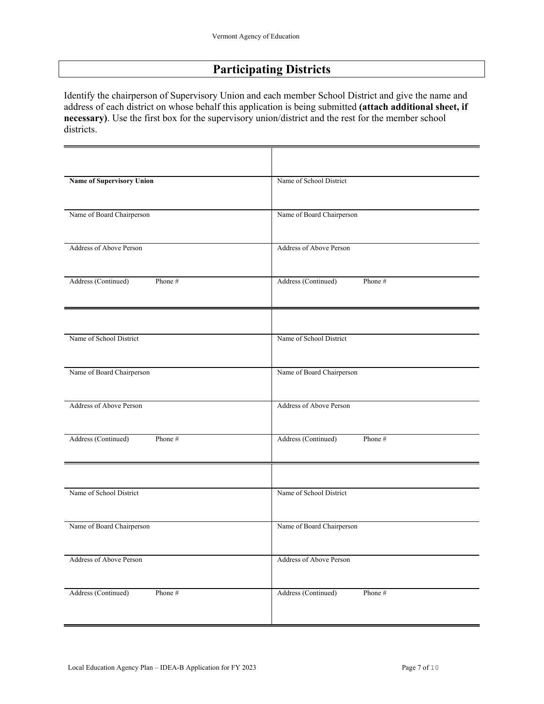### **Participating Districts**

Identify the chairperson of Supervisory Union and each member School District and give the name and address of each district on whose behalf this application is being submitted **(attach additional sheet, if necessary)**. Use the first box for the supervisory union/district and the rest for the member school districts.

| <b>Name of Supervisory Union</b> | Name of School District        |
|----------------------------------|--------------------------------|
| Name of Board Chairperson        | Name of Board Chairperson      |
| Address of Above Person          | Address of Above Person        |
| Address (Continued)<br>Phone #   | Address (Continued)<br>Phone # |
| Name of School District          | Name of School District        |
| Name of Board Chairperson        | Name of Board Chairperson      |
| Address of Above Person          | Address of Above Person        |
| Address (Continued)<br>Phone #   | Address (Continued)<br>Phone # |
| Name of School District          | Name of School District        |
| Name of Board Chairperson        | Name of Board Chairperson      |
| Address of Above Person          | Address of Above Person        |
| Address (Continued)<br>Phone #   | Address (Continued)<br>Phone # |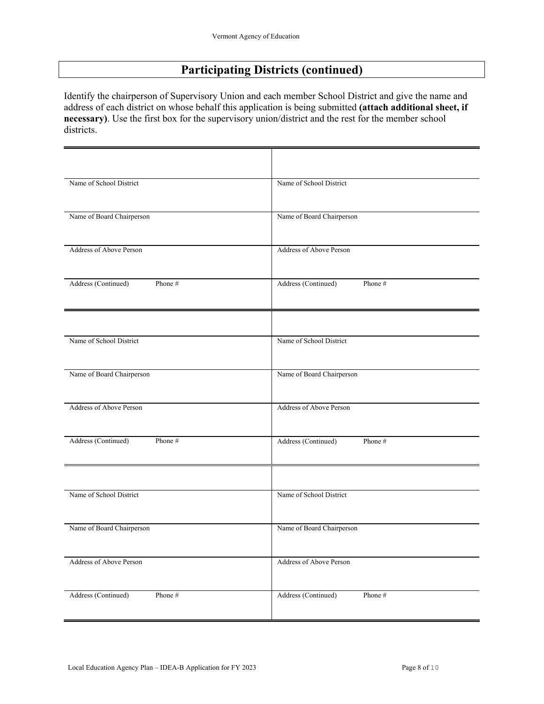### **Participating Districts (continued)**

Identify the chairperson of Supervisory Union and each member School District and give the name and address of each district on whose behalf this application is being submitted **(attach additional sheet, if necessary)**. Use the first box for the supervisory union/district and the rest for the member school districts.

| Name of School District        | Name of School District        |
|--------------------------------|--------------------------------|
| Name of Board Chairperson      | Name of Board Chairperson      |
| Address of Above Person        | Address of Above Person        |
| Address (Continued)<br>Phone # | Address (Continued)<br>Phone # |
| Name of School District        | Name of School District        |
| Name of Board Chairperson      | Name of Board Chairperson      |
| Address of Above Person        | Address of Above Person        |
| Address (Continued)<br>Phone # | Address (Continued)<br>Phone # |
| Name of School District        | Name of School District        |
| Name of Board Chairperson      | Name of Board Chairperson      |
| Address of Above Person        | Address of Above Person        |
| Address (Continued)<br>Phone # | Address (Continued)<br>Phone # |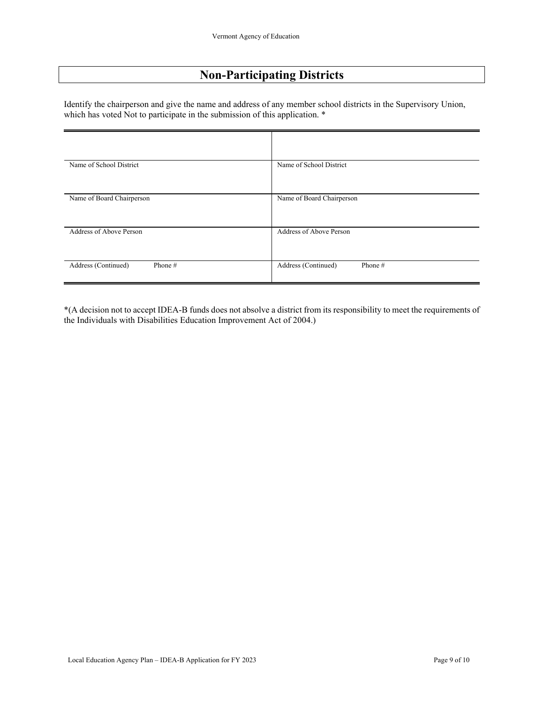### **Non-Participating Districts**

Identify the chairperson and give the name and address of any member school districts in the Supervisory Union, which has voted Not to participate in the submission of this application. \*

| Name of School District          | Name of School District        |
|----------------------------------|--------------------------------|
| Name of Board Chairperson        | Name of Board Chairperson      |
| Address of Above Person          | Address of Above Person        |
| Address (Continued)<br>Phone $#$ | Address (Continued)<br>Phone # |

\*(A decision not to accept IDEA-B funds does not absolve a district from its responsibility to meet the requirements of the Individuals with Disabilities Education Improvement Act of 2004.)